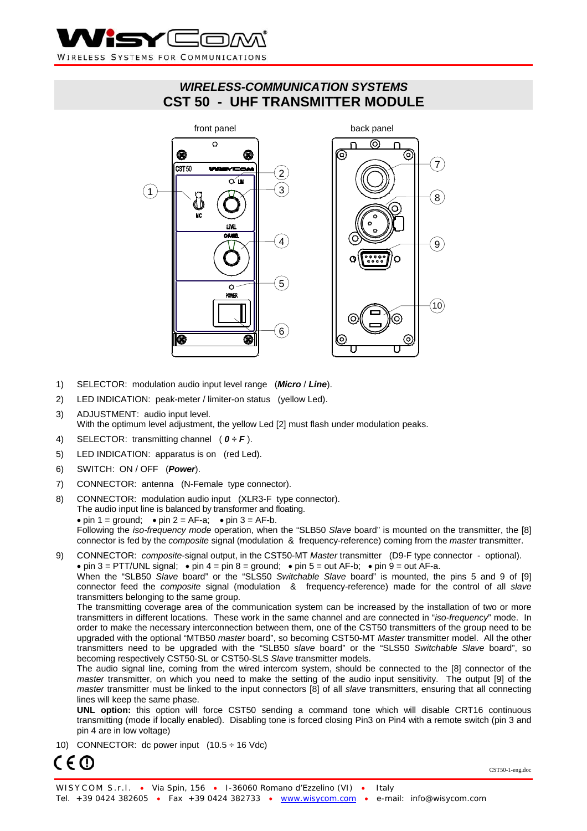

# *WIRELESS-COMMUNICATION SYSTEMS*  **CST 50 - UHF TRANSMITTER MODULE**



- 1) SELECTOR: modulation audio input level range (*Micro* / *Line*).
- 2) LED INDICATION: peak-meter / limiter-on status (yellow Led).
- 3) ADJUSTMENT: audio input level. With the optimum level adjustment, the yellow Led [2] must flash under modulation peaks.
- 4) SELECTOR: transmitting channel ( *0 ÷ F* ).
- 5) LED INDICATION: apparatus is on (red Led).
- 6) SWITCH: ON / OFF (*Power*).
- 7) CONNECTOR: antenna (N-Female type connector).
- 8) CONNECTOR: modulation audio input (XLR3-F type connector). The audio input line is balanced by transformer and floating. • pin  $1 =$  ground; • pin  $2 = AF-a$ ; • pin  $3 = AF-b$ . Following the *iso-frequency mode* operation, when the "SLB50 *Slave* board" is mounted on the transmitter, the [8] connector is fed by the *composite* signal (modulation & frequency-reference) coming from the *master* transmitter.
- 9) CONNECTOR: *composite*-signal output, in the CST50-MT *Master* transmitter (D9-F type connector optional). • pin 3 = PTT/UNL signal; • pin 4 = pin 8 = ground; • pin 5 = out AF-b; • pin 9 = out AF-a. When the "SLB50 *Slave* board" or the "SLS50 *Switchable Slave* board" is mounted, the pins 5 and 9 of [9] connector feed the *composite* signal (modulation & frequency-reference) made for the control of all *slave* transmitters belonging to the same group.

The transmitting coverage area of the communication system can be increased by the installation of two or more transmitters in different locations. These work in the same channel and are connected in "*iso-frequency*" mode. In order to make the necessary interconnection between them, one of the CST50 transmitters of the group need to be upgraded with the optional "MTB50 *master* board", so becoming CST50-MT *Master* transmitter model. All the other transmitters need to be upgraded with the "SLB50 *slave* board" or the "SLS50 *Switchable Slave* board", so becoming respectively CST50-SL or CST50-SLS *Slave* transmitter models.

The audio signal line, coming from the wired intercom system, should be connected to the [8] connector of the *master* transmitter, on which you need to make the setting of the audio input sensitivity. The output [9] of the *master* transmitter must be linked to the input connectors [8] of all *slave* transmitters, ensuring that all connecting lines will keep the same phase.

**UNL option:** this option will force CST50 sending a command tone which will disable CRT16 continuous transmitting (mode if locally enabled). Disabling tone is forced closing Pin3 on Pin4 with a remote switch (pin 3 and pin 4 are in low voltage)

10) CONNECTOR: dc power input  $(10.5 \div 16 \text{ Vdc})$